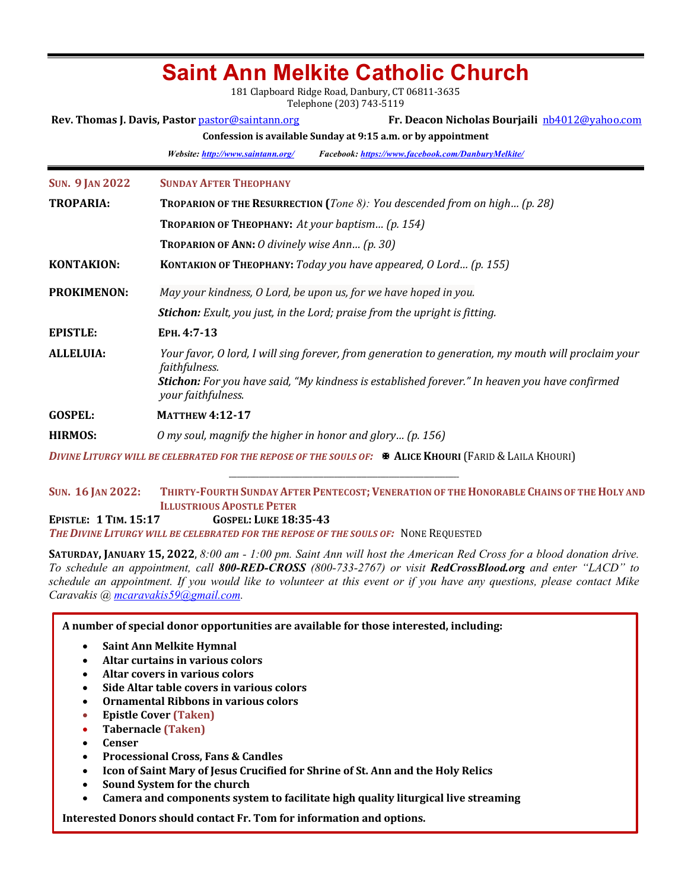| Sallit Allii McInite Vatiiviit Viitiitii<br>181 Clapboard Ridge Road, Danbury, CT 06811-3635<br>Telephone (203) 743-5119 |                                                                                                                                                                                                                               |  |  |  |  |  |
|--------------------------------------------------------------------------------------------------------------------------|-------------------------------------------------------------------------------------------------------------------------------------------------------------------------------------------------------------------------------|--|--|--|--|--|
| Fr. Deacon Nicholas Bourjaili nb4012@yahoo.com<br>Rev. Thomas J. Davis, Pastor pastor@saintann.org                       |                                                                                                                                                                                                                               |  |  |  |  |  |
| Confession is available Sunday at 9:15 a.m. or by appointment                                                            |                                                                                                                                                                                                                               |  |  |  |  |  |
|                                                                                                                          | Website: http://www.saintann.org/<br>Facebook: https://www.facebook.com/DanburyMelkite/                                                                                                                                       |  |  |  |  |  |
| <b>SUN. 9 JAN 2022</b>                                                                                                   | <b>SUNDAY AFTER THEOPHANY</b>                                                                                                                                                                                                 |  |  |  |  |  |
| <b>TROPARIA:</b>                                                                                                         | <b>TROPARION OF THE RESURRECTION</b> ( <i>Tone 8</i> ): You descended from on high (p. 28)                                                                                                                                    |  |  |  |  |  |
|                                                                                                                          | TROPARION OF THEOPHANY: At your baptism (p. 154)                                                                                                                                                                              |  |  |  |  |  |
|                                                                                                                          | <b>TROPARION OF ANN: O divinely wise Ann (p. 30)</b>                                                                                                                                                                          |  |  |  |  |  |
| <b>KONTAKION:</b>                                                                                                        | KONTAKION OF THEOPHANY: Today you have appeared, O Lord (p. 155)                                                                                                                                                              |  |  |  |  |  |
| <b>PROKIMENON:</b>                                                                                                       | May your kindness, O Lord, be upon us, for we have hoped in you.                                                                                                                                                              |  |  |  |  |  |
|                                                                                                                          | <b>Stichon:</b> Exult, you just, in the Lord; praise from the upright is fitting.                                                                                                                                             |  |  |  |  |  |
| <b>EPISTLE:</b>                                                                                                          | ЕРН. 4:7-13                                                                                                                                                                                                                   |  |  |  |  |  |
| <b>ALLELUIA:</b>                                                                                                         | Your favor, O lord, I will sing forever, from generation to generation, my mouth will proclaim your<br>faithfulness.<br><b>Stichon:</b> For you have said, "My kindness is established forever." In heaven you have confirmed |  |  |  |  |  |
|                                                                                                                          | your faithfulness.                                                                                                                                                                                                            |  |  |  |  |  |
| <b>GOSPEL:</b>                                                                                                           | <b>MATTHEW 4:12-17</b>                                                                                                                                                                                                        |  |  |  |  |  |
| <b>HIRMOS:</b>                                                                                                           | O my soul, magnify the higher in honor and glory (p. 156)                                                                                                                                                                     |  |  |  |  |  |
|                                                                                                                          | DIVINE LITURGY WILL BE CELEBRATED FOR THE REPOSE OF THE SOULS OF: <b>*</b> ALICE KHOURI (FARID & LAILA KHOURI)                                                                                                                |  |  |  |  |  |

**Saint Ann Melkite Catholic Church**

**SUN. 16** JAN 2022: THIRTY-FOURTH SUNDAY AFTER PENTECOST; VENERATION OF THE HONORABLE CHAINS OF THE HOLY AND **ILLUSTRIOUS APOSTLE PETER EPISTLE: 1 TIM. 15:17 GOSPEL: LUKE 18:35-43** THE DIVINE LITURGY WILL BE CELEBRATED FOR THE REPOSE OF THE SOULS OF: NONE REQUESTED

**SATURDAY, JANUARY 15, 2022,** 8:00 am - 1:00 pm. Saint Ann will host the American Red Cross for a blood donation drive. *To schedule an appointment, call 800-RED-CROSS (800-733-2767) or visit RedCrossBlood.org and enter "LACD" to schedule an appointment. If you would like to volunteer at this event or if you have any questions, please contact Mike Caravakis @ mcaravakis59@gmail.com.* 

A number of special donor opportunities are available for those interested, including:

- **Saint Ann Melkite Hymnal**
- Altar curtains in various colors
- **Altar covers in various colors**
- Side Altar table covers in various colors
- Ornamental Ribbons in various colors
- **Epistle Cover (Taken)**
- **Tabernacle (Taken)**
- **Censer**
- **Processional Cross, Fans & Candles**
- Icon of Saint Mary of Jesus Crucified for Shrine of St. Ann and the Holy Relics
- Sound System for the church
- Camera and components system to facilitate high quality liturgical live streaming

**Interested Donors should contact Fr. Tom for information and options.**